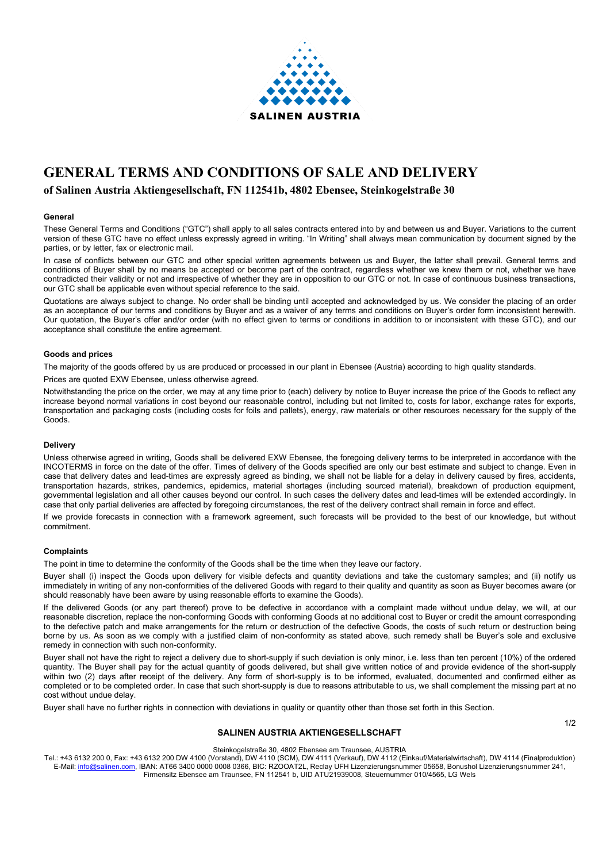

# **GENERAL TERMS AND CONDITIONS OF SALE AND DELIVERY**

# **of Salinen Austria Aktiengesellschaft, FN 112541b, 4802 Ebensee, Steinkogelstraße 30**

# **General**

These General Terms and Conditions ("GTC") shall apply to all sales contracts entered into by and between us and Buyer. Variations to the current version of these GTC have no effect unless expressly agreed in writing. "In Writing" shall always mean communication by document signed by the parties, or by letter, fax or electronic mail.

In case of conflicts between our GTC and other special written agreements between us and Buyer, the latter shall prevail. General terms and conditions of Buyer shall by no means be accepted or become part of the contract, regardless whether we knew them or not, whether we have contradicted their validity or not and irrespective of whether they are in opposition to our GTC or not. In case of continuous business transactions, our GTC shall be applicable even without special reference to the said.

Quotations are always subject to change. No order shall be binding until accepted and acknowledged by us. We consider the placing of an order as an acceptance of our terms and conditions by Buyer and as a waiver of any terms and conditions on Buyer's order form inconsistent herewith. Our quotation, the Buyer's offer and/or order (with no effect given to terms or conditions in addition to or inconsistent with these GTC), and our acceptance shall constitute the entire agreement.

#### **Goods and prices**

The majority of the goods offered by us are produced or processed in our plant in Ebensee (Austria) according to high quality standards.

Prices are quoted EXW Ebensee, unless otherwise agreed.

Notwithstanding the price on the order, we may at any time prior to (each) delivery by notice to Buyer increase the price of the Goods to reflect any increase beyond normal variations in cost beyond our reasonable control, including but not limited to, costs for labor, exchange rates for exports, transportation and packaging costs (including costs for foils and pallets), energy, raw materials or other resources necessary for the supply of the Goods.

# **Delivery**

Unless otherwise agreed in writing, Goods shall be delivered EXW Ebensee, the foregoing delivery terms to be interpreted in accordance with the INCOTERMS in force on the date of the offer. Times of delivery of the Goods specified are only our best estimate and subject to change. Even in case that delivery dates and lead-times are expressly agreed as binding, we shall not be liable for a delay in delivery caused by fires, accidents, transportation hazards, strikes, pandemics, epidemics, material shortages (including sourced material), breakdown of production equipment, governmental legislation and all other causes beyond our control. In such cases the delivery dates and lead-times will be extended accordingly. In case that only partial deliveries are affected by foregoing circumstances, the rest of the delivery contract shall remain in force and effect.

If we provide forecasts in connection with a framework agreement, such forecasts will be provided to the best of our knowledge, but without commitment.

# **Complaints**

The point in time to determine the conformity of the Goods shall be the time when they leave our factory.

Buyer shall (i) inspect the Goods upon delivery for visible defects and quantity deviations and take the customary samples; and (ii) notify us immediately in writing of any non-conformities of the delivered Goods with regard to their quality and quantity as soon as Buyer becomes aware (or should reasonably have been aware by using reasonable efforts to examine the Goods).

If the delivered Goods (or any part thereof) prove to be defective in accordance with a complaint made without undue delay, we will, at our reasonable discretion, replace the non-conforming Goods with conforming Goods at no additional cost to Buyer or credit the amount corresponding to the defective patch and make arrangements for the return or destruction of the defective Goods, the costs of such return or destruction being borne by us. As soon as we comply with a justified claim of non-conformity as stated above, such remedy shall be Buyer's sole and exclusive remedy in connection with such non-conformity.

Buyer shall not have the right to reject a delivery due to short-supply if such deviation is only minor, i.e. less than ten percent (10%) of the ordered quantity. The Buyer shall pay for the actual quantity of goods delivered, but shall give written notice of and provide evidence of the short-supply within two (2) days after receipt of the delivery. Any form of short-supply is to be informed, evaluated, documented and confirmed either as completed or to be completed order. In case that such short-supply is due to reasons attributable to us, we shall complement the missing part at no cost without undue delay.

Buyer shall have no further rights in connection with deviations in quality or quantity other than those set forth in this Section.

# **SALINEN AUSTRIA AKTIENGESELLSCHAFT**

1/2

#### Steinkogelstraße 30, 4802 Ebensee am Traunsee, AUSTRIA

Tel.: +43 6132 200 0, Fax: +43 6132 200 DW 4100 (Vorstand), DW 4110 (SCM), DW 4111 (Verkauf), DW 4112 (Einkauf/Materialwirtschaft), DW 4114 (Finalproduktion) E-Mail[: info@salinen.com,](mailto:info@salinen.com) IBAN: AT66 3400 0000 0008 0366, BIC: RZOOAT2L, Reclay UFH Lizenzierungsnummer 05658, Bonushol Lizenzierungsnummer 241, Firmensitz Ebensee am Traunsee, FN 112541 b, UID ATU21939008, Steuernummer 010/4565, LG Wels